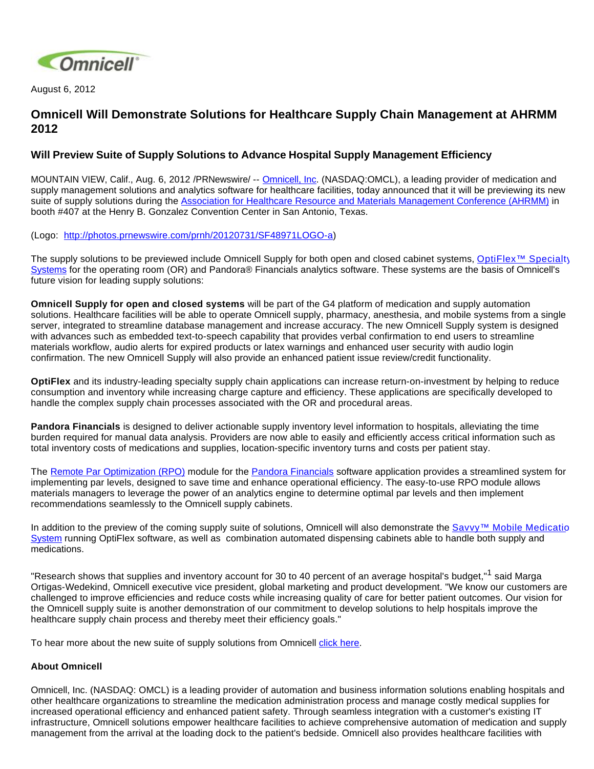

August 6, 2012

## **Omnicell Will Demonstrate Solutions for Healthcare Supply Chain Management at AHRMM 2012**

## **Will Preview Suite of Supply Solutions to Advance Hospital Supply Management Efficiency**

MOUNTAIN VIEW, Calif., Aug. 6, 2012 /PRNewswire/ -- [Omnicell, Inc](http://www.omnicell.com/). (NASDAQ:OMCL), a leading provider of medication and supply management solutions and analytics software for healthcare facilities, today announced that it will be previewing its new suite of supply solutions during the [Association for Healthcare Resource and Materials Management Conference \(AHRMM\)](http://www.ahrmm.org/ahrmm/conference/annualconf12/index.jsp) in booth #407 at the Henry B. Gonzalez Convention Center in San Antonio, Texas.

(Logo: <http://photos.prnewswire.com/prnh/20120731/SF48971LOGO-a>)

The supply solutions to be previewed include Omnicell Supply for both open and closed cabinet systems, [OptiFlex™ Specialt](http://www.omnicell.com/Products/Supply_Management/OptiFlex_SS_Surgical_Services.aspx)y [Systems](http://www.omnicell.com/Products/Supply_Management/OptiFlex_SS_Surgical_Services.aspx) for the operating room (OR) and Pandora® Financials analytics software. These systems are the basis of Omnicell's future vision for leading supply solutions:

**Omnicell Supply for open and closed systems** will be part of the G4 platform of medication and supply automation solutions. Healthcare facilities will be able to operate Omnicell supply, pharmacy, anesthesia, and mobile systems from a single server, integrated to streamline database management and increase accuracy. The new Omnicell Supply system is designed with advances such as embedded text-to-speech capability that provides verbal confirmation to end users to streamline materials workflow, audio alerts for expired products or latex warnings and enhanced user security with audio login confirmation. The new Omnicell Supply will also provide an enhanced patient issue review/credit functionality.

**OptiFlex** and its industry-leading specialty supply chain applications can increase return-on-investment by helping to reduce consumption and inventory while increasing charge capture and efficiency. These applications are specifically developed to handle the complex supply chain processes associated with the OR and procedural areas.

**Pandora Financials** is designed to deliver actionable supply inventory level information to hospitals, alleviating the time burden required for manual data analysis. Providers are now able to easily and efficiently access critical information such as total inventory costs of medications and supplies, location-specific inventory turns and costs per patient stay.

The [Remote Par Optimization \(RPO\)](http://www.omnicell.com/Products/Business_Analytics/Pandora_Analytics/Remote_Par_Optimization_Module.aspx) module for the [Pandora Financials](http://www.omnicell.com/Products/Business_Analytics/Pandora_Analytics/Pandora_Financials.aspx) software application provides a streamlined system for implementing par levels, designed to save time and enhance operational efficiency. The easy-to-use RPO module allows materials managers to leverage the power of an analytics engine to determine optimal par levels and then implement recommendations seamlessly to the Omnicell supply cabinets.

In addition to the preview of the coming supply suite of solutions, Omnicell will also demonstrate the [Savvy™ Mobile Medicatio](http://www.omnicell.com/Products/Medication_Dispensing/Savvy_Mobile_Medication_System.aspx) [System](http://www.omnicell.com/Products/Medication_Dispensing/Savvy_Mobile_Medication_System.aspx) running OptiFlex software, as well as combination automated dispensing cabinets able to handle both supply and medications.

"Research shows that supplies and inventory account for 30 to 40 percent of an average hospital's budget,"<sup>1</sup> said Marga Ortigas-Wedekind, Omnicell executive vice president, global marketing and product development. "We know our customers are challenged to improve efficiencies and reduce costs while increasing quality of care for better patient outcomes. Our vision for the Omnicell supply suite is another demonstration of our commitment to develop solutions to help hospitals improve the healthcare supply chain process and thereby meet their efficiency goals."

To hear more about the new suite of supply solutions from Omnicell [click here.](http://bcove.me/3h4wvblw)

## **About Omnicell**

Omnicell, Inc. (NASDAQ: OMCL) is a leading provider of automation and business information solutions enabling hospitals and other healthcare organizations to streamline the medication administration process and manage costly medical supplies for increased operational efficiency and enhanced patient safety. Through seamless integration with a customer's existing IT infrastructure, Omnicell solutions empower healthcare facilities to achieve comprehensive automation of medication and supply management from the arrival at the loading dock to the patient's bedside. Omnicell also provides healthcare facilities with